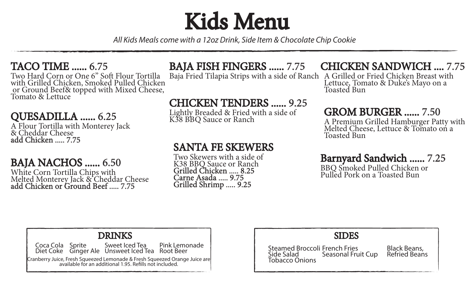# Kids Menu

*All Kids Meals come with a 12oz Drink, Side Item & Chocolate Chip Cookie*

#### TACO TIME ...... 6.75

Two Hard Corn or One 6" Soft Flour Tortilla with Grilled Chicken, Smoked Pulled Chicken or Ground Beef& topped with Mixed Cheese,

#### QUESADILLA ...... 6.25

A Flour Tortilla with Monterey Jack & Cheddar Cheese add Chicken ..... 7.75

#### BAJA NACHOS ...... 6.50

White Corn Tortilla Chips with Melted Monterey Jack & Cheddar Cheese add Chicken or Ground Beef ..... 7.75

### BAJA FISH FINGERS ...... 7.75

Baja Fried Tilapia Strips with a side of Ranch A Grilled or Fried Chicken Breast with

## Tomato & Lettuce The CHICKEN TENDERS ...... 9.25

Lightly Breaded & Fried with a side of K38 BBQ Sauce or Ranch

#### SANTA FE SKEWERS

Two Skewers with a side of K38 BBQ Sauce or Ranch Grilled Chicken ..... 8.25 Carne Asada ..... 9.75 Grilled Shrimp ..... 9.25

#### CHICKEN SANDWICH .... 7.75

Lettuce, Tomato & Duke's Mayo on a Toasted Bun

#### GROM BURGER ...... 7.50

A Premium Grilled Hamburger Patty with Melted Cheese, Lettuce & Tomato on a Toasted Bun

#### Barnyard Sandwich ...... 7.25

BBQ Smoked Pulled Chicken or Pulled Pork on a Toasted Bun

#### DRINKS Sweet Iced Tea Unsweet Iced Tea Root Beer Pink Lemonade Coca Cola Diet Coke Sprite Ginger Ale *Cranberry Juice, Fresh Squeezed Lemonade & Fresh Squeezed Orange Juice are available for an additional 1.95. Rells not included.*

SIDES Steamed Broccoli French Fries Seasonal Fruit Cup Side Salad Tobacco Onions Black Beans, Refried Beans